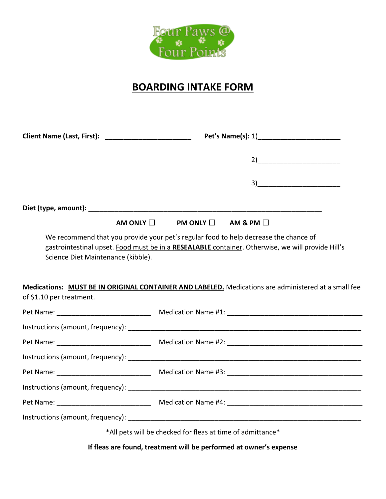

## **BOARDING INTAKE FORM**

|                                                                | $2)$ and $2$                                                                                                                                                                                                                                                                                     |
|----------------------------------------------------------------|--------------------------------------------------------------------------------------------------------------------------------------------------------------------------------------------------------------------------------------------------------------------------------------------------|
|                                                                | $\begin{tabular}{ c c c } \hline \quad \quad & \quad \quad & \quad \quad & \quad \quad \\ \hline \end{tabular}$                                                                                                                                                                                  |
|                                                                |                                                                                                                                                                                                                                                                                                  |
| AM ONLY $\square$                                              | PM ONLY $\Box$ AM & PM $\Box$                                                                                                                                                                                                                                                                    |
| Science Diet Maintenance (kibble).<br>of \$1.10 per treatment. | We recommend that you provide your pet's regular food to help decrease the chance of<br>gastrointestinal upset. Food must be in a RESEALABLE container. Otherwise, we will provide Hill's<br>Medications: MUST BE IN ORIGINAL CONTAINER AND LABELED. Medications are administered at a small fee |
|                                                                |                                                                                                                                                                                                                                                                                                  |
|                                                                |                                                                                                                                                                                                                                                                                                  |
|                                                                |                                                                                                                                                                                                                                                                                                  |
|                                                                |                                                                                                                                                                                                                                                                                                  |
|                                                                |                                                                                                                                                                                                                                                                                                  |
|                                                                |                                                                                                                                                                                                                                                                                                  |
|                                                                |                                                                                                                                                                                                                                                                                                  |
|                                                                | Instructions (amount, frequency): The contract of the contract of the contract of the contract of the contract of the contract of the contract of the contract of the contract of the contract of the contract of the contract                                                                   |
| *All pets will be checked for fleas at time of admittance*     |                                                                                                                                                                                                                                                                                                  |

**If fleas are found, treatment will be performed at owner's expense**